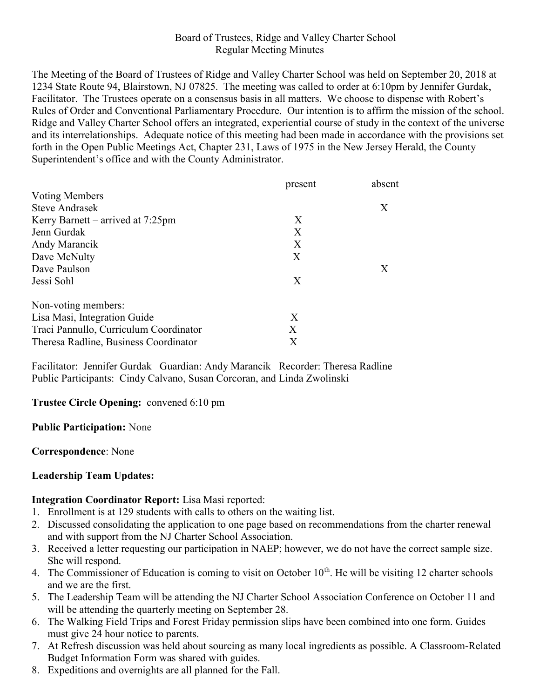### Board of Trustees, Ridge and Valley Charter School Regular Meeting Minutes

The Meeting of the Board of Trustees of Ridge and Valley Charter School was held on September 20, 2018 at 1234 State Route 94, Blairstown, NJ 07825. The meeting was called to order at 6:10pm by Jennifer Gurdak, Facilitator. The Trustees operate on a consensus basis in all matters. We choose to dispense with Robert's Rules of Order and Conventional Parliamentary Procedure. Our intention is to affirm the mission of the school. Ridge and Valley Charter School offers an integrated, experiential course of study in the context of the universe and its interrelationships. Adequate notice of this meeting had been made in accordance with the provisions set forth in the Open Public Meetings Act, Chapter 231, Laws of 1975 in the New Jersey Herald, the County Superintendent's office and with the County Administrator.

|                                        | present | absent |
|----------------------------------------|---------|--------|
| Voting Members                         |         |        |
| <b>Steve Andrasek</b>                  |         | X      |
| Kerry Barnett – arrived at $7:25$ pm   | X       |        |
| Jenn Gurdak                            | X       |        |
| Andy Marancik                          | X       |        |
| Dave McNulty                           | X       |        |
| Dave Paulson                           |         | X      |
| Jessi Sohl                             | X       |        |
| Non-voting members:                    |         |        |
| Lisa Masi, Integration Guide           | Χ       |        |
| Traci Pannullo, Curriculum Coordinator | Χ       |        |
| Theresa Radline, Business Coordinator  | X       |        |

Facilitator: Jennifer Gurdak Guardian: Andy Marancik Recorder: Theresa Radline Public Participants: Cindy Calvano, Susan Corcoran, and Linda Zwolinski

### Trustee Circle Opening: convened 6:10 pm

#### Public Participation: None

#### Correspondence: None

### Leadership Team Updates:

### Integration Coordinator Report: Lisa Masi reported:

- 1. Enrollment is at 129 students with calls to others on the waiting list.
- 2. Discussed consolidating the application to one page based on recommendations from the charter renewal and with support from the NJ Charter School Association.
- 3. Received a letter requesting our participation in NAEP; however, we do not have the correct sample size. She will respond.
- 4. The Commissioner of Education is coming to visit on October  $10<sup>th</sup>$ . He will be visiting 12 charter schools and we are the first.
- 5. The Leadership Team will be attending the NJ Charter School Association Conference on October 11 and will be attending the quarterly meeting on September 28.
- 6. The Walking Field Trips and Forest Friday permission slips have been combined into one form. Guides must give 24 hour notice to parents.
- 7. At Refresh discussion was held about sourcing as many local ingredients as possible. A Classroom-Related Budget Information Form was shared with guides.
- 8. Expeditions and overnights are all planned for the Fall.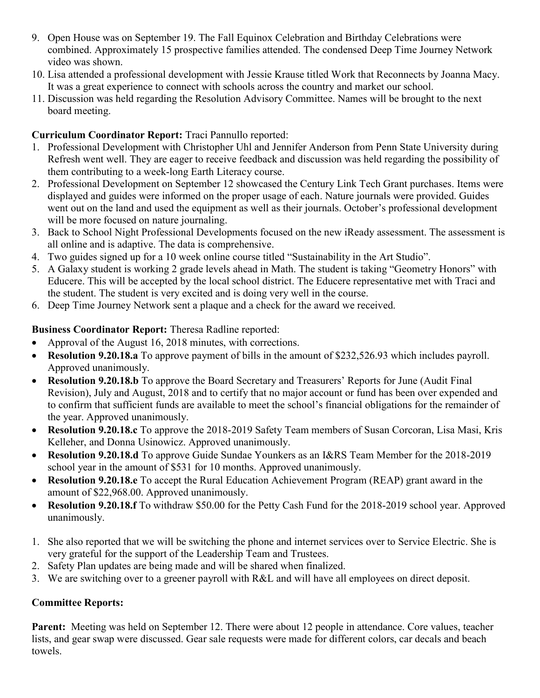- 9. Open House was on September 19. The Fall Equinox Celebration and Birthday Celebrations were combined. Approximately 15 prospective families attended. The condensed Deep Time Journey Network video was shown.
- 10. Lisa attended a professional development with Jessie Krause titled Work that Reconnects by Joanna Macy. It was a great experience to connect with schools across the country and market our school.
- 11. Discussion was held regarding the Resolution Advisory Committee. Names will be brought to the next board meeting.

## Curriculum Coordinator Report: Traci Pannullo reported:

- 1. Professional Development with Christopher Uhl and Jennifer Anderson from Penn State University during Refresh went well. They are eager to receive feedback and discussion was held regarding the possibility of them contributing to a week-long Earth Literacy course.
- 2. Professional Development on September 12 showcased the Century Link Tech Grant purchases. Items were displayed and guides were informed on the proper usage of each. Nature journals were provided. Guides went out on the land and used the equipment as well as their journals. October's professional development will be more focused on nature journaling.
- 3. Back to School Night Professional Developments focused on the new iReady assessment. The assessment is all online and is adaptive. The data is comprehensive.
- 4. Two guides signed up for a 10 week online course titled "Sustainability in the Art Studio".
- 5. A Galaxy student is working 2 grade levels ahead in Math. The student is taking "Geometry Honors" with Educere. This will be accepted by the local school district. The Educere representative met with Traci and the student. The student is very excited and is doing very well in the course.
- 6. Deep Time Journey Network sent a plaque and a check for the award we received.

# Business Coordinator Report: Theresa Radline reported:

- Approval of the August 16, 2018 minutes, with corrections.
- Resolution 9.20.18.a To approve payment of bills in the amount of \$232,526.93 which includes payroll. Approved unanimously.
- Resolution 9.20.18.b To approve the Board Secretary and Treasurers' Reports for June (Audit Final Revision), July and August, 2018 and to certify that no major account or fund has been over expended and to confirm that sufficient funds are available to meet the school's financial obligations for the remainder of the year. Approved unanimously.
- Resolution 9.20.18.c To approve the 2018-2019 Safety Team members of Susan Corcoran, Lisa Masi, Kris Kelleher, and Donna Usinowicz. Approved unanimously.
- Resolution 9.20.18.d To approve Guide Sundae Younkers as an I&RS Team Member for the 2018-2019 school year in the amount of \$531 for 10 months. Approved unanimously.
- Resolution 9.20.18.e To accept the Rural Education Achievement Program (REAP) grant award in the amount of \$22,968.00. Approved unanimously.
- Resolution 9.20.18.f To withdraw \$50.00 for the Petty Cash Fund for the 2018-2019 school year. Approved unanimously.
- 1. She also reported that we will be switching the phone and internet services over to Service Electric. She is very grateful for the support of the Leadership Team and Trustees.
- 2. Safety Plan updates are being made and will be shared when finalized.
- 3. We are switching over to a greener payroll with R&L and will have all employees on direct deposit.

# Committee Reports:

Parent: Meeting was held on September 12. There were about 12 people in attendance. Core values, teacher lists, and gear swap were discussed. Gear sale requests were made for different colors, car decals and beach towels.